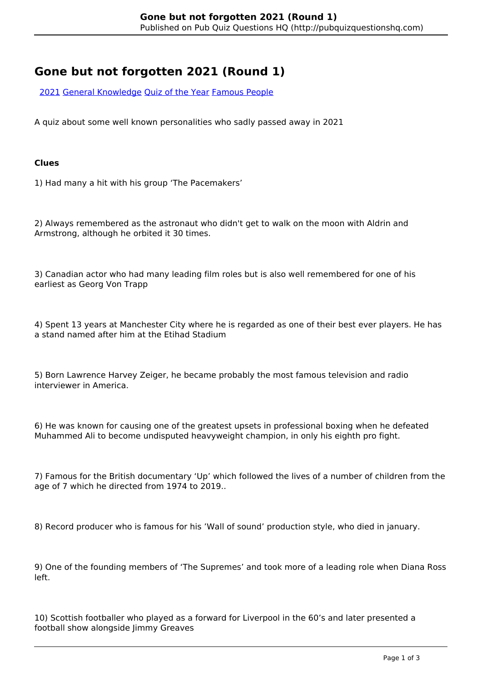# **Gone but not forgotten 2021 (Round 1)**

[2021](http://pubquizquestionshq.com/categories/2021) [General Knowledge](http://pubquizquestionshq.com/categories/general-knowledge) [Quiz of the Year](http://pubquizquestionshq.com/categories/quiz-of-the-year-2021) [Famous People](http://pubquizquestionshq.com/categories/famous-people)

A quiz about some well known personalities who sadly passed away in 2021

#### **Clues**

1) Had many a hit with his group 'The Pacemakers'

2) Always remembered as the astronaut who didn't get to walk on the moon with Aldrin and Armstrong, although he orbited it 30 times.

3) Canadian actor who had many leading film roles but is also well remembered for one of his earliest as Georg Von Trapp

4) Spent 13 years at Manchester City where he is regarded as one of their best ever players. He has a stand named after him at the Etihad Stadium

5) Born Lawrence Harvey Zeiger, he became probably the most famous television and radio interviewer in America.

6) He was known for causing one of the greatest upsets in professional boxing when he defeated Muhammed Ali to become undisputed heavyweight champion, in only his eighth pro fight.

7) Famous for the British documentary 'Up' which followed the lives of a number of children from the age of 7 which he directed from 1974 to 2019..

8) Record producer who is famous for his 'Wall of sound' production style, who died in january.

9) One of the founding members of 'The Supremes' and took more of a leading role when Diana Ross left.

10) Scottish footballer who played as a forward for Liverpool in the 60's and later presented a football show alongside Jimmy Greaves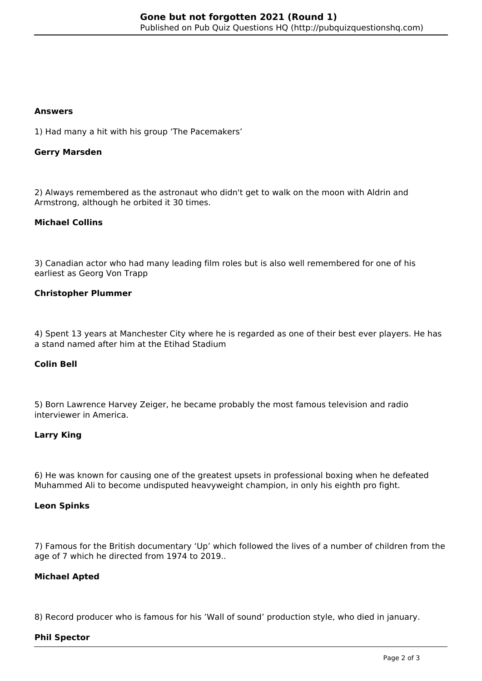#### **Answers**

1) Had many a hit with his group 'The Pacemakers'

## **Gerry Marsden**

2) Always remembered as the astronaut who didn't get to walk on the moon with Aldrin and Armstrong, although he orbited it 30 times.

## **Michael Collins**

3) Canadian actor who had many leading film roles but is also well remembered for one of his earliest as Georg Von Trapp

## **Christopher Plummer**

4) Spent 13 years at Manchester City where he is regarded as one of their best ever players. He has a stand named after him at the Etihad Stadium

## **Colin Bell**

5) Born Lawrence Harvey Zeiger, he became probably the most famous television and radio interviewer in America.

## **Larry King**

6) He was known for causing one of the greatest upsets in professional boxing when he defeated Muhammed Ali to become undisputed heavyweight champion, in only his eighth pro fight.

#### **Leon Spinks**

7) Famous for the British documentary 'Up' which followed the lives of a number of children from the age of 7 which he directed from 1974 to 2019..

## **Michael Apted**

8) Record producer who is famous for his 'Wall of sound' production style, who died in january.

#### **Phil Spector**